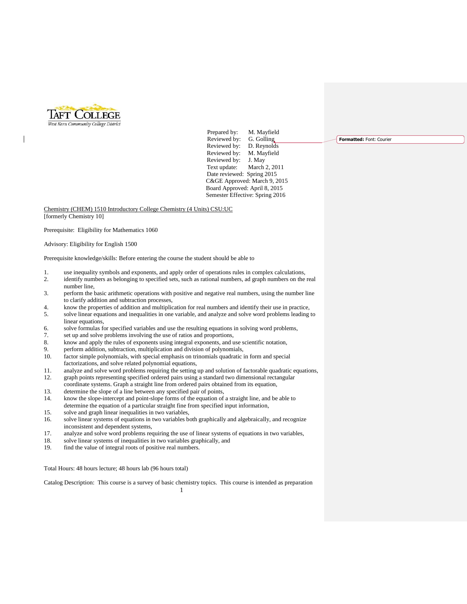

 $\overline{\phantom{a}}$ 

Prepared by: M. Mayfield Reviewed by: G. Golling Reviewed by: D. Reynolds<br>Reviewed by: M. Mayfield Reviewed by: Reviewed by: J. May Text update: March 2, 2011 Date reviewed: Spring 2015 C&GE Approved: March 9, 2015 Board Approved: April 8, 2015 Semester Effective: Spring 2016

Chemistry (CHEM) 1510 Introductory College Chemistry (4 Units) CSU:UC [formerly Chemistry 10]

Prerequisite: Eligibility for Mathematics 1060

Advisory: Eligibility for English 1500

Prerequisite knowledge/skills: Before entering the course the student should be able to

- 1. use inequality symbols and exponents, and apply order of operations rules in complex calculations,
- 2. identify numbers as belonging to specified sets, such as rational numbers, ad graph numbers on the real number line,
- 3. perform the basic arithmetic operations with positive and negative real numbers, using the number line to clarify addition and subtraction processes,
- 4. know the properties of addition and multiplication for real numbers and identify their use in practice,
- 5. solve linear equations and inequalities in one variable, and analyze and solve word problems leading to linear equations,
- 6. solve formulas for specified variables and use the resulting equations in solving word problems,
- 7. set up and solve problems involving the use of ratios and proportions,
- 8. know and apply the rules of exponents using integral exponents, and use scientific notation,
- 9. perform addition, subtraction, multiplication and division of polynomials, 10. factor simple polynomials, with special emphasis on trinomials quadratic in form and special
- factorizations, and solve related polynomial equations,
- 11. analyze and solve word problems requiring the setting up and solution of factorable quadratic equations,<br>12. The property of the setting specified ordered pairs using a standard two dimensional rectangular graph points representing specified ordered pairs using a standard two dimensional rectangular
- coordinate systems. Graph a straight line from ordered pairs obtained from its equation,
- 13. determine the slope of a line between any specified pair of points,<br>14. know the slope-intercept and point-slope forms of the equation of know the slope-intercept and point-slope forms of the equation of a straight line, and be able to determine the equation of a particular straight fine from specified input information,
- 15. solve and graph linear inequalities in two variables,
- 16. solve linear systems of equations in two variables both graphically and algebraically, and recognize inconsistent and dependent systems,
- 17. analyze and solve word problems requiring the use of linear systems of equations in two variables,
- 18. solve linear systems of inequalities in two variables graphically, and
- 19. find the value of integral roots of positive real numbers.

Total Hours: 48 hours lecture; 48 hours lab (96 hours total)

1 Catalog Description: This course is a survey of basic chemistry topics. This course is intended as preparation **Formatted:** Font: Courier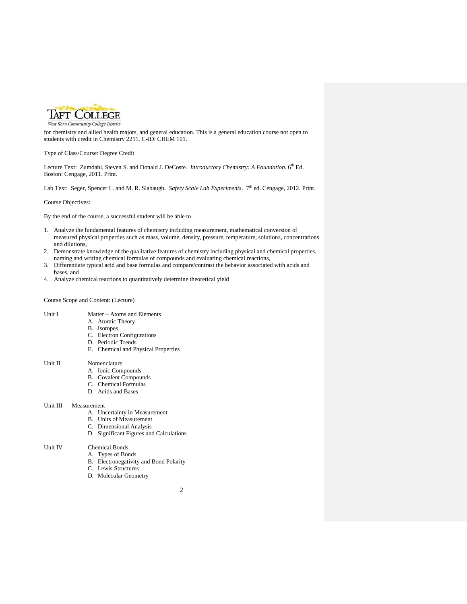

West Kern Community College District

for chemistry and allied health majors, and general education. This is a general education course not open to students with credit in Chemistry 2211. C-ID: CHEM 101.

Type of Class/Course: Degree Credit

Lecture Text: Zumdahl, Steven S. and Donald J. DeCoste. *Introductory Chemistry: A Foundation*. 6 th Ed. Boston: Cengage, 2011. Print.

Lab Text: Seger, Spencer L. and M. R. Slabaugh. *Safety Scale Lab Experiments*. 7<sup>th</sup> ed. Cengage, 2012. Print.

Course Objectives:

By the end of the course, a successful student will be able to

- 1. Analyze the fundamental features of chemistry including measurement, mathematical conversion of measured physical properties such as mass, volume, density, pressure, temperature, solutions, concentrations and dilutions,
- 2. Demonstrate knowledge of the qualitative features of chemistry including physical and chemical properties, naming and writing chemical formulas of compounds and evaluating chemical reactions,
- 3. Differentiate typical acid and base formulas and compare/contrast the behavior associated with acids and bases, and
- 4. Analyze chemical reactions to quantitatively determine theoretical yield

Course Scope and Content: (Lecture)

- Unit I Matter Atoms and Elements
	- A. Atomic Theory
	- B. Isotopes
	- C. Electron Configurations
	- D. Periodic Trends
	- E. Chemical and Physical Properties

# Unit II Nomenclature

- A. Ionic Compounds
- B. Covalent Compounds
- C. Chemical Formulas
- D. Acids and Bases

# Unit III Measurement

- A. Uncertainty in Measurement
- B. Units of Measurement
- C. Dimensional Analysis
- D. Significant Figures and Calculations

# Unit IV Chemical Bonds

- A. Types of Bonds
- B. Electronegativity and Bond Polarity
- C. Lewis Structures
- D. Molecular Geometry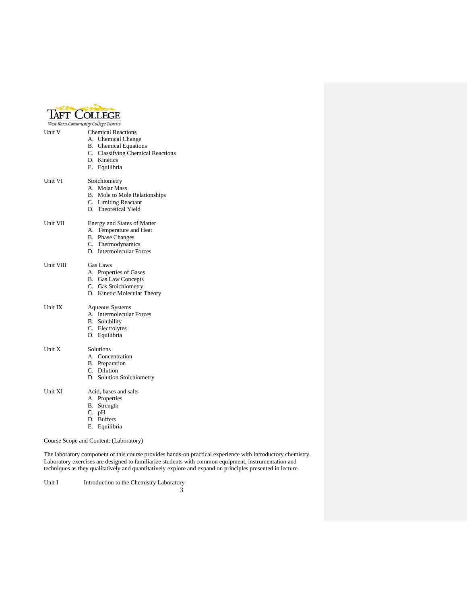| <b>TAFT COLLEGE</b>                  |                                                                                                                                                      |  |  |
|--------------------------------------|------------------------------------------------------------------------------------------------------------------------------------------------------|--|--|
| West Kern Community College District |                                                                                                                                                      |  |  |
| Unit V                               | <b>Chemical Reactions</b><br>A. Chemical Change<br><b>B.</b> Chemical Equations<br>C. Classifying Chemical Reactions<br>D. Kinetics<br>E. Equilibria |  |  |
| Unit VI                              | Stoichiometry<br>A. Molar Mass<br>B. Mole to Mole Relationships<br>C. Limiting Reactant<br>D. Theoretical Yield                                      |  |  |
| Unit VII                             | Energy and States of Matter<br>A. Temperature and Heat<br><b>B.</b> Phase Changes<br>C. Thermodynamics<br>D. Intermolecular Forces                   |  |  |
| Unit VIII                            | Gas Laws<br>A. Properties of Gases<br><b>B.</b> Gas Law Concepts<br>C. Gas Stoichiometry<br>D. Kinetic Molecular Theory                              |  |  |
| Unit IX                              | <b>Aqueous Systems</b><br>A. Intermolecular Forces<br><b>B.</b> Solubility<br>C. Electrolytes<br>D. Equilibria                                       |  |  |
| Unit X                               | Solutions<br>A. Concentration<br>B. Preparation<br>C. Dilution<br>D. Solution Stoichiometry                                                          |  |  |
| Unit XI                              | Acid, bases and salts<br>A. Properties<br>B. Strength<br>C. pH<br>D. Buffers<br>E. Equilibria                                                        |  |  |
|                                      | Course Scope and Content: (Laboratory)                                                                                                               |  |  |

The laboratory component of this course provides hands-on practical experience with introductory chemistry. Laboratory exercises are designed to familiarize students with common equipment, instrumentation and techniques as they qualitatively and quantitatively explore and expand on principles presented in lecture.

Unit I Introduction to the Chemistry Laboratory

3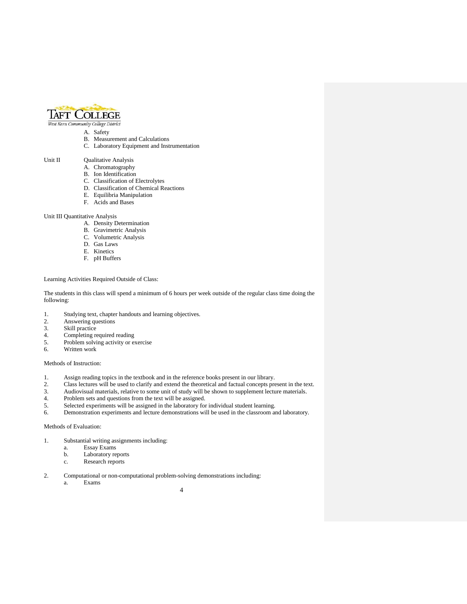

West Kern Community College District

- A. Safety
- B. Measurement and Calculations
- C. Laboratory Equipment and Instrumentation

# Unit II Qualitative Analysis

- A. Chromatography
- B. Ion Identification
- C. Classification of Electrolytes
- D. Classification of Chemical Reactions
- E. Equilibria Manipulation
- F. Acids and Bases

#### Unit III Quantitative Analysis

- A. Density Determination
- B. Gravimetric Analysis
- C. Volumetric Analysis
- D. Gas Laws
- E. Kinetics
- F. pH Buffers

# Learning Activities Required Outside of Class:

The students in this class will spend a minimum of 6 hours per week outside of the regular class time doing the following:

- 1. Studying text, chapter handouts and learning objectives.
- 2. Answering questions
- 3. Skill practice
- 4. Completing required reading<br>5. Problem solving activity or ex-
- 5. Problem solving activity or exercise
- 6. Written work

#### Methods of Instruction:

- 1. Assign reading topics in the textbook and in the reference books present in our library.
- 2. Class lectures will be used to clarify and extend the theoretical and factual concepts present in the text.
- 3. Audiovisual materials, relative to some unit of study will be shown to supplement lecture materials.
- Problem sets and questions from the text will be assigned.
- 5. Selected experiments will be assigned in the laboratory for individual student learning.
- 6. Demonstration experiments and lecture demonstrations will be used in the classroom and laboratory.

# Methods of Evaluation:

- 1. Substantial writing assignments including:
	- a. Essay Exams
	- b. Laboratory reports
	- c. Research reports
- 2. Computational or non-computational problem-solving demonstrations including:
	- a. Exams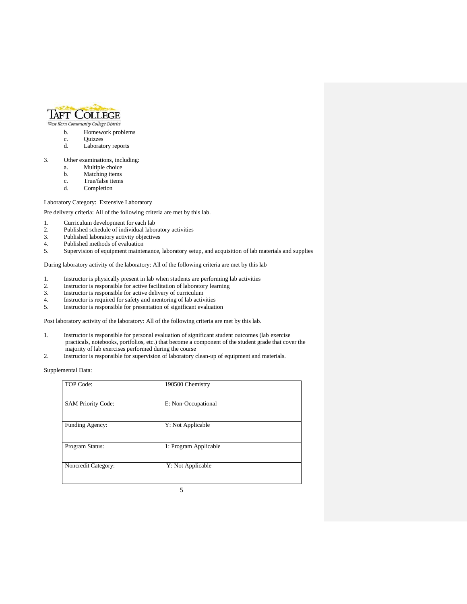

- West Kern Community College District
	- b. Homework problems
	- c. Quizzes
	- d. Laboratory reports
- 3. Other examinations, including:
	- a. Multiple choice
	- b. Matching items<br>c. True/false items
	- c. True/false items<br>d. Completion
	- Completion

# Laboratory Category: Extensive Laboratory

Pre delivery criteria: All of the following criteria are met by this lab.

- 1. Curriculum development for each lab<br>2. Published schedule of individual labor
- Published schedule of individual laboratory activities
- 3. Published laboratory activity objectives
- 4. Published methods of evaluation<br>5. Supervision of equipment mainte
- 5. Supervision of equipment maintenance, laboratory setup, and acquisition of lab materials and supplies

During laboratory activity of the laboratory: All of the following criteria are met by this lab

- 1. Instructor is physically present in lab when students are performing lab activities
- 2. Instructor is responsible for active facilitation of laboratory learning
- 3. Instructor is responsible for active delivery of curriculum
- 4. Instructor is required for safety and mentoring of lab activities<br>5. Instructor is responsible for presentation of significant evaluation
- 5. Instructor is responsible for presentation of significant evaluation

Post laboratory activity of the laboratory: All of the following criteria are met by this lab.

- 1. Instructor is responsible for personal evaluation of significant student outcomes (lab exercise practicals, notebooks, portfolios, etc.) that become a component of the student grade that cover the majority of lab exercises performed during the course
- 2. Instructor is responsible for supervision of laboratory clean-up of equipment and materials.

Supplemental Data:

| TOP Code:                 | 190500 Chemistry      |
|---------------------------|-----------------------|
| <b>SAM Priority Code:</b> | E: Non-Occupational   |
| Funding Agency:           | Y: Not Applicable     |
| Program Status:           | 1: Program Applicable |
| Noncredit Category:       | Y: Not Applicable     |